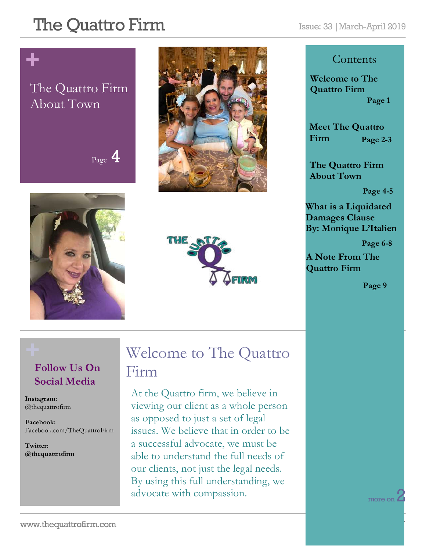# **+**

#### The Quattro Firm About Town

## $_{\text{Page}}$  4







#### **Contents**

**Welcome to The Quattro Firm Page 1**

**Meet The Quattro Firm Page 2-3**

**The Quattro Firm About Town**

**Page 4-5**

**What is a Liquidated Damages Clause By: Monique L'Italien**

 **Page 6-8**

**A Note From The Quattro Firm** 

**Page 9**

#### **Follow Us On Social Media**

**Instagram:**  @thequattrofirm

**Facebook:** Facebook.com/TheQuattroFirm

**Twitter: @thequattrofirm**

### **+** Welcome to The Quattro Firm

At the Quattro firm, we believe in viewing our client as a whole person as opposed to just a set of legal issues. We believe that in order to be a successful advocate, we must be able to understand the full needs of our clients, not just the legal needs. By using this full understanding, we advocate with compassion.

more on  $\angle$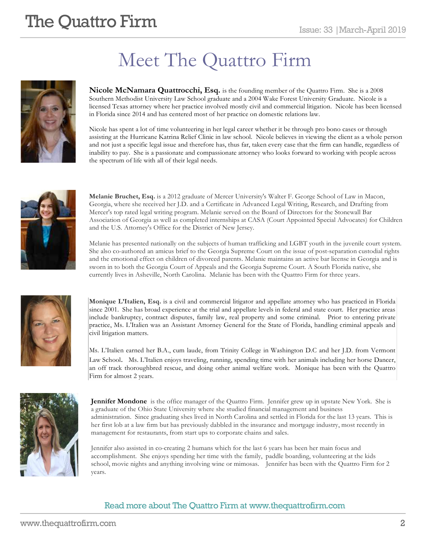## Meet The Quattro Firm



**Nicole McNamara Quattrocchi, Esq.** is the founding member of the Quattro Firm. She is a 2008 Southern Methodist University Law School graduate and a 2004 Wake Forest University Graduate. Nicole is a licensed Texas attorney where her practice involved mostly civil and commercial litigation. Nicole has been licensed in Florida since 2014 and has centered most of her practice on domestic relations law.

Nicole has spent a lot of time volunteering in her legal career whether it be through pro bono cases or through assisting at the Hurricane Katrina Relief Clinic in law school. Nicole believes in viewing the client as a whole person and not just a specific legal issue and therefore has, thus far, taken every case that the firm can handle, regardless of inability to pay. She is a passionate and compassionate attorney who looks forward to working with people across the spectrum of life with all of their legal needs.



**Melanie Bruchet, Esq.** is a 2012 graduate of Mercer University's Walter F. George School of Law in Macon, Georgia, where she received her J.D. and a Certificate in Advanced Legal Writing, Research, and Drafting from Mercer's top rated legal writing program. Melanie served on the Board of Directors for the Stonewall Bar Association of Georgia as well as completed internships at CASA (Court Appointed Special Advocates) for Children and the U.S. Attorney's Office for the District of New Jersey.

Melanie has presented nationally on the subjects of human trafficking and LGBT youth in the juvenile court system. She also co-authored an amicus brief to the Georgia Supreme Court on the issue of post-separation custodial rights and the emotional effect on children of divorced parents. Melanie maintains an active bar license in Georgia and is sworn in to both the Georgia Court of Appeals and the Georgia Supreme Court. A South Florida native, she currently lives in Asheville, North Carolina. Melanie has been with the Quattro Firm for three years.



**Monique L'Italien, Esq.** is a civil and commercial litigator and appellate attorney who has practiced in Florida since 2001. She has broad experience at the trial and appellate levels in federal and state court. Her practice areas include bankruptcy, contract disputes, family law, real property and some criminal. Prior to entering private practice, Ms. L'Italien was an Assistant Attorney General for the State of Florida, handling criminal appeals and civil litigation matters.

Ms. L'Italien earned her B.A., cum laude, from Trinity College in Washington D.C and her J.D. from Vermont Law School. Ms. L'Italien enjoys traveling, running, spending time with her animals including her horse Dancer, an off track thoroughbred rescue, and doing other animal welfare work. Monique has been with the Quattro Firm for almost 2 years.



**Jennifer Mondone** is the office manager of the Quattro Firm. Jennifer grew up in upstate New York. She is a graduate of the Ohio State University where she studied financial management and business administration. Since graduating shes lived in North Carolina and settled in Florida for the last 13 years. This is her first lob at a law firm but has previously dabbled in the insurance and mortgage industry, most recently in management for restaurants, from start ups to corporate chains and sales.

Jennifer also assisted in co-creating 2 humans which for the last 6 years has been her main focus and accomplishment. She enjoys spending her time with the family, paddle boarding, volunteering at the kids school, movie nights and anything involving wine or mimosas. Jennifer has been with the Quattro Firm for 2 years.

#### Read more about The Quattro Firm at www.thequattrofirm.com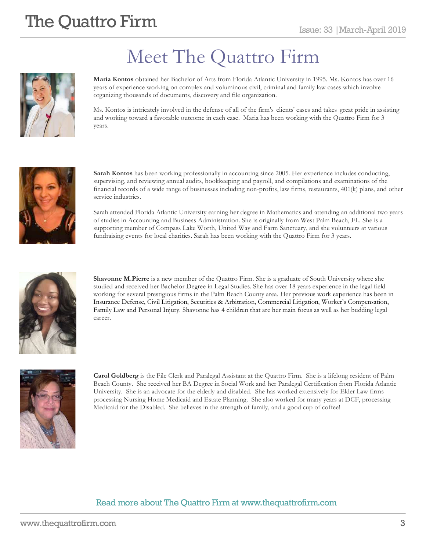

## Meet The Quattro Firm

**Maria Kontos** obtained her Bachelor of Arts from Florida Atlantic University in 1995. Ms. Kontos has over 16 years of experience working on complex and voluminous civil, criminal and family law cases which involve organizing thousands of documents, discovery and file organization.

Ms. Kontos is intricately involved in the defense of all of the firm's clients' cases and takes great pride in assisting and working toward a favorable outcome in each case. Maria has been working with the Quattro Firm for 3 years.



**Sarah Kontos** has been working professionally in accounting since 2005. Her experience includes conducting, supervising, and reviewing annual audits, bookkeeping and payroll, and compilations and examinations of the financial records of a wide range of businesses including non-profits, law firms, restaurants, 401(k) plans, and other service industries.

Sarah attended Florida Atlantic University earning her degree in Mathematics and attending an additional two years of studies in Accounting and Business Administration. She is originally from West Palm Beach, FL. She is a supporting member of Compass Lake Worth, United Way and Farm Sanctuary, and she volunteers at various fundraising events for local charities. Sarah has been working with the Quattro Firm for 3 years.



**Shavonne M.Pierre** is a new member of the Quattro Firm. She is a graduate of South University where she studied and received her Bachelor Degree in Legal Studies. She has over 18 years experience in the legal field working for several prestigious firms in the Palm Beach County area. Her previous work experience has been in Insurance Defense, Civil Litigation, Securities & Arbitration, Commercial Litigation, Worker's Compensation, Family Law and Personal Injury. Shavonne has 4 children that are her main focus as well as her budding legal career.



**Carol Goldberg** is the File Clerk and Paralegal Assistant at the Quattro Firm. She is a lifelong resident of Palm Beach County. She received her BA Degree in Social Work and her Paralegal Certification from Florida Atlantic University. She is an advocate for the elderly and disabled. She has worked extensively for Elder Law firms processing Nursing Home Medicaid and Estate Planning. She also worked for many years at DCF, processing Medicaid for the Disabled. She believes in the strength of family, and a good cup of coffee!

#### Read more about The Quattro Firm at www.thequattrofirm.com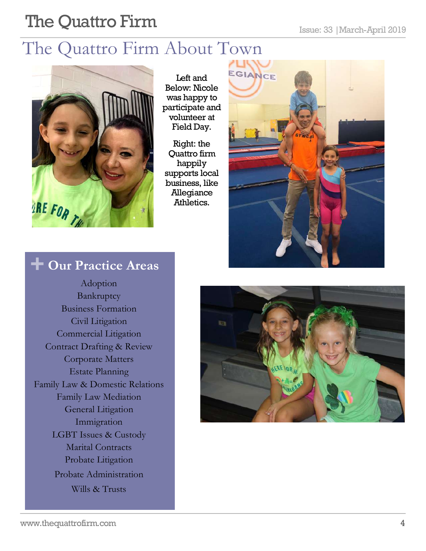### The Quattro Firm About Town



Left and Below: Nicole was happy to participate and volunteer at Field Day.

Right: the Quattro firm happily supports local business, like Allegiance Athletics.



### **+ Our Practice Areas**

Adoption Bankruptcy Business Formation Civil Litigation Commercial Litigation Contract Drafting & Review Corporate Matters Estate Planning Family Law & Domestic Relations Family Law Mediation General Litigation Immigration LGBT Issues & Custody Marital Contracts Probate Litigation Probate Administration Wills & Trusts

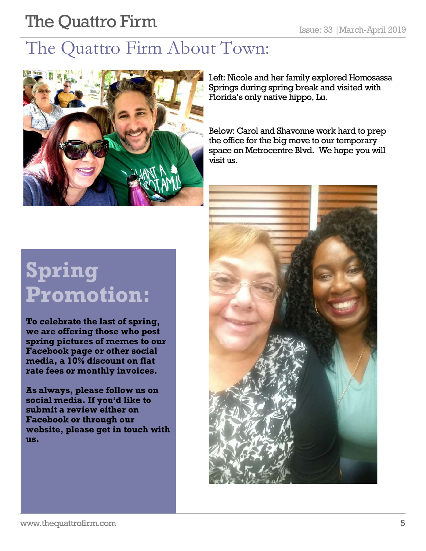## The Quattro Firm About Town:



Left: Nicole and her family explored Homosassa Springs during spring break and visited with Florida's only native hippo, Lu.

Below: Carol and Shavonne work hard to prep the office for the big move to our temporary space on Metrocentre Blvd. We hope you will visit us.

# **Spring Promotion:**

**To celebrate the last of spring, we are offering those who post spring pictures of memes to our Facebook page or other social media, a 10% discount on flat rate fees or monthly invoices.**

**As always, please follow us on social media. If you'd like to submit a review either on Facebook or through our website, please get in touch with us.** 

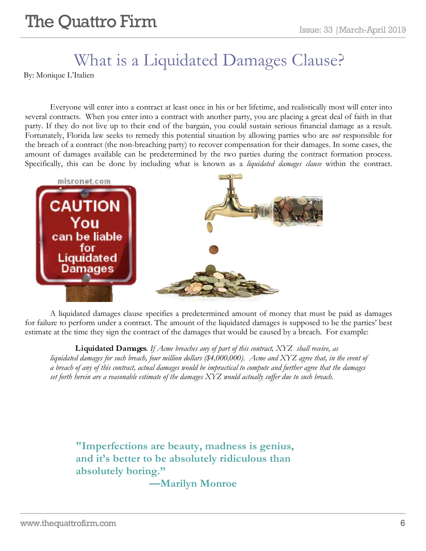### What is a Liquidated Damages Clause?

By: Monique L'Italien

Everyone will enter into a contract at least once in his or her lifetime, and realistically most will enter into several contracts. When you enter into a contract with another party, you are placing a great deal of faith in that party. If they do not live up to their end of the bargain, you could sustain serious financial damage as a result. Fortunately, Florida law seeks to remedy this potential situation by allowing parties who are *not* responsible for the breach of a contract (the non-breaching party) to recover compensation for their damages. In some cases, the amount of damages available can be predetermined by the two parties during the contract formation process. Specifically, this can be done by including what is known as a *liquidated damages clause* within the contract.



A liquidated damages clause specifies a predetermined amount of money that must be paid as damages for failure to perform under a contract. The amount of the liquidated damages is supposed to be the parties' best estimate at the time they sign the contract of the damages that would be caused by a breach. For example:

**Liquidated Damages***. If Acme breaches any of part of this contract, XYZ shall receive, as liquidated damages for such breach, four million dollars (\$4,000,000). Acme and XYZ agree that, in the event of a breach of any of this contract, actual damages would be impractical to compute and further agree that the damages set forth herein are a reasonable estimate of the damages XYZ would actually suffer due to such breach.*

**"Imperfections are beauty, madness is genius, and it's better to be absolutely ridiculous than absolutely boring."** 

**—Marilyn Monroe**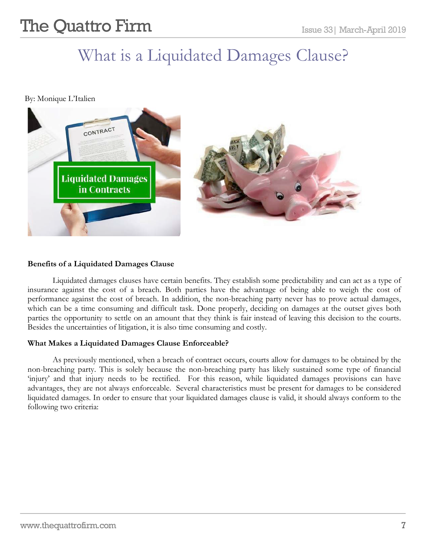## **The Quattro Firm**  $\sum_{\text{Issue 33} | \text{March-April 2019}}$

### What is a Liquidated Damages Clause?

By: Monique L'Italien



#### **Benefits of a Liquidated Damages Clause**

Liquidated damages clauses have certain benefits. They establish some predictability and can act as a type of insurance against the cost of a breach. Both parties have the advantage of being able to weigh the cost of performance against the cost of breach. In addition, the non-breaching party never has to prove actual damages, which can be a time consuming and difficult task. Done properly, deciding on damages at the outset gives both parties the opportunity to settle on an amount that they think is fair instead of leaving this decision to the courts. Besides the uncertainties of litigation, it is also time consuming and costly.

#### **What Makes a Liquidated Damages Clause Enforceable?**

As previously mentioned, when a breach of contract occurs, courts allow for damages to be obtained by the non-breaching party. This is solely because the non-breaching party has likely sustained some type of financial 'injury' and that injury needs to be rectified. For this reason, while liquidated damages provisions can have advantages, they are not always enforceable. Several characteristics must be present for damages to be considered liquidated damages. In order to ensure that your liquidated damages clause is valid, it should always conform to the following two criteria: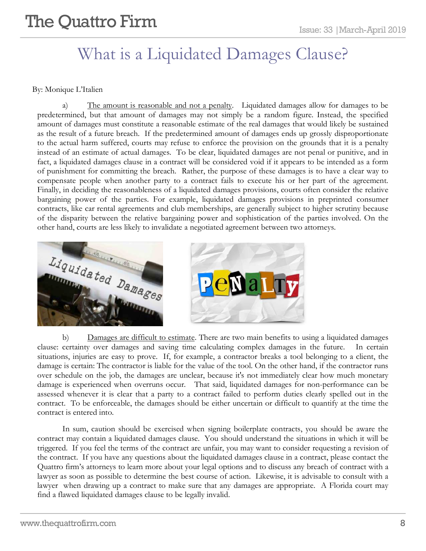### What is a Liquidated Damages Clause?

#### By: Monique L'Italien

a) The amount is reasonable and not a penalty. Liquidated damages allow for damages to be predetermined, but that amount of damages may not simply be a random figure. Instead, the specified amount of damages must constitute a reasonable estimate of the real damages that would likely be sustained as the result of a future breach. If the predetermined amount of damages ends up grossly disproportionate to the actual harm suffered, courts may refuse to enforce the provision on the grounds that it is a penalty instead of an estimate of actual damages. To be clear, liquidated damages are not penal or punitive, and in fact, a liquidated damages clause in a contract will be considered void if it appears to be intended as a form of punishment for committing the breach. Rather, the purpose of these damages is to have a clear way to compensate people when another party to a contract fails to execute his or her part of the agreement. Finally, in deciding the reasonableness of a liquidated damages provisions, courts often consider the relative bargaining power of the parties. For example, liquidated damages provisions in preprinted consumer contracts, like car rental agreements and club memberships, are generally subject to higher scrutiny because of the disparity between the relative bargaining power and sophistication of the parties involved. On the other hand, courts are less likely to invalidate a negotiated agreement between two attorneys.



b) Damages are difficult to estimate. There are two main benefits to using a liquidated damages clause: certainty over damages and saving time calculating complex damages in the future. In certain situations, injuries are easy to prove. If, for example, a contractor breaks a tool belonging to a client, the damage is certain: The contractor is liable for the value of the tool. On the other hand, if the contractor runs over schedule on the job, the damages are unclear, because it's not immediately clear how much monetary damage is experienced when overruns occur. That said, liquidated damages for non-performance can be assessed whenever it is clear that a party to a contract failed to perform duties clearly spelled out in the contract. To be enforceable, the damages should be either uncertain or difficult to quantify at the time the contract is entered into.

In sum, caution should be exercised when signing boilerplate contracts, you should be aware the contract may contain a liquidated damages clause. You should understand the situations in which it will be triggered. If you feel the terms of the contract are unfair, you may want to consider requesting a revision of the contract. If you have any questions about the liquidated damages clause in a contract, please contact the Quattro firm's attorneys to learn more about your legal options and to discuss any breach of contract with a lawyer as soon as possible to determine the best course of action. Likewise, it is advisable to consult with a lawyer when drawing up a contract to make sure that any damages are appropriate. A Florida court may find a flawed liquidated damages clause to be legally invalid.